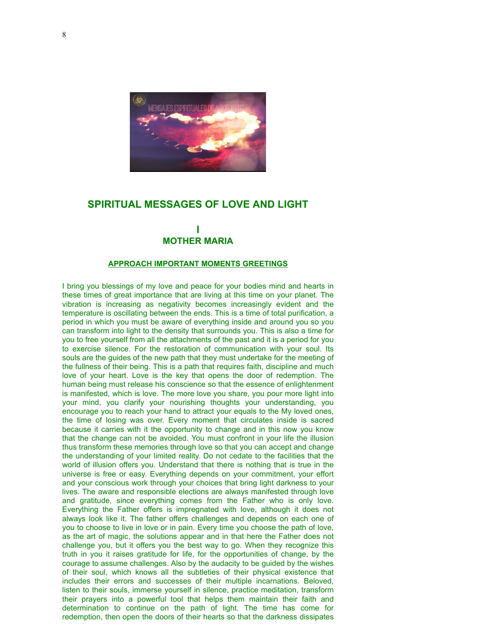

# **SPIRITUAL MESSAGES OF LOVE AND LIGHT**

## **I MOTHER MARIA**

### **APPROACH IMPORTANT MOMENTS GREETINGS**

I bring you blessings of my love and peace for your bodies mind and hearts in these times of great importance that are living at this time on your planet. The vibration is increasing as negativity becomes increasingly evident and the temperature is oscillating between the ends. This is a time of total purification, a period in which you must be aware of everything inside and around you so you can transform into light to the density that surrounds you. This is also a time for you to free yourself from all the attachments of the past and it is a period for you to exercise silence. For the restoration of communication with your soul. Its souls are the guides of the new path that they must undertake for the meeting of the fullness of their being. This is a path that requires faith, discipline and much love of your heart. Love is the key that opens the door of redemption. The human being must release his conscience so that the essence of enlightenment is manifested, which is love. The more love you share, you pour more light into your mind, you clarify your nourishing thoughts your understanding, you encourage you to reach your hand to attract your equals to the My loved ones, the time of losing was over. Every moment that circulates inside is sacred because it carries with it the opportunity to change and in this now you know that the change can not be avoided. You must confront in your life the illusion thus transform these memories through love so that you can accept and change the understanding of your limited reality. Do not cedate to the facilities that the world of illusion offers you. Understand that there is nothing that is true in the universe is free or easy. Everything depends on your commitment, your effort and your conscious work through your choices that bring light darkness to your lives. The aware and responsible elections are always manifested through love and gratitude, since everything comes from the Father who is only love. Everything the Father offers is impregnated with love, although it does not always look like it. The father offers challenges and depends on each one of you to choose to live in love or in pain. Every time you choose the path of love, as the art of magic, the solutions appear and in that here the Father does not challenge you, but it offers you the best way to go. When they recognize this truth in you it raises gratitude for life, for the opportunities of change, by the courage to assume challenges. Also by the audacity to be guided by the wishes of their soul, which knows all the subtleties of their physical existence that includes their errors and successes of their multiple incarnations. Beloved, listen to their souls, immerse yourself in silence, practice meditation, transform their prayers into a powerful tool that helps them maintain their faith and determination to continue on the path of light. The time has come for redemption, then open the doors of their hearts so that the darkness dissipates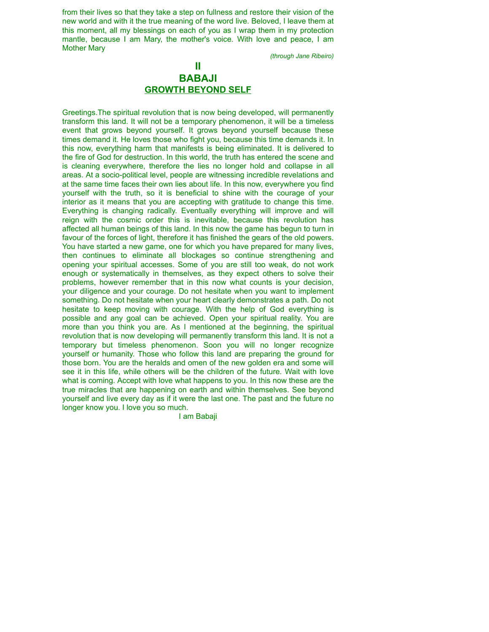from their lives so that they take a step on fullness and restore their vision of the new world and with it the true meaning of the word live. Beloved, I leave them at this moment, all my blessings on each of you as I wrap them in my protection mantle, because I am Mary, the mother's voice. With love and peace, I am Mother Mary

*(through Jane Ribeiro)*

# **II BABAJI GROWTH BEYOND SELF**

Greetings.The spiritual revolution that is now being developed, will permanently transform this land. It will not be a temporary phenomenon, it will be a timeless event that grows beyond yourself. It grows beyond yourself because these times demand it. He loves those who fight you, because this time demands it. In this now, everything harm that manifests is being eliminated. It is delivered to the fire of God for destruction. In this world, the truth has entered the scene and is cleaning everywhere, therefore the lies no longer hold and collapse in all areas. At a socio-political level, people are witnessing incredible revelations and at the same time faces their own lies about life. In this now, everywhere you find yourself with the truth, so it is beneficial to shine with the courage of your interior as it means that you are accepting with gratitude to change this time. Everything is changing radically. Eventually everything will improve and will reign with the cosmic order this is inevitable, because this revolution has affected all human beings of this land. In this now the game has begun to turn in favour of the forces of light, therefore it has finished the gears of the old powers. You have started a new game, one for which you have prepared for many lives, then continues to eliminate all blockages so continue strengthening and opening your spiritual accesses. Some of you are still too weak, do not work enough or systematically in themselves, as they expect others to solve their problems, however remember that in this now what counts is your decision, your diligence and your courage. Do not hesitate when you want to implement something. Do not hesitate when your heart clearly demonstrates a path. Do not hesitate to keep moving with courage. With the help of God everything is possible and any goal can be achieved. Open your spiritual reality. You are more than you think you are. As I mentioned at the beginning, the spiritual revolution that is now developing will permanently transform this land. It is not a temporary but timeless phenomenon. Soon you will no longer recognize yourself or humanity. Those who follow this land are preparing the ground for those born. You are the heralds and omen of the new golden era and some will see it in this life, while others will be the children of the future. Wait with love what is coming. Accept with love what happens to you. In this now these are the true miracles that are happening on earth and within themselves. See beyond yourself and live every day as if it were the last one. The past and the future no longer know you. I love you so much.

I am Babaji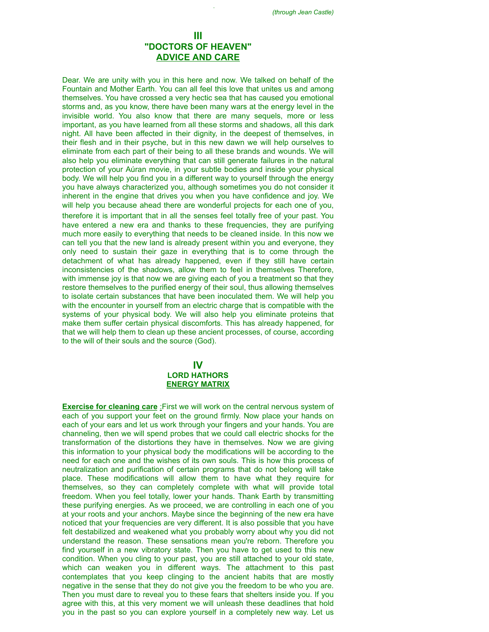## **III "DOCTORS OF HEAVEN" ADVICE AND CARE**

I am Babaji

Dear. We are unity with you in this here and now. We talked on behalf of the Fountain and Mother Earth. You can all feel this love that unites us and among themselves. You have crossed a very hectic sea that has caused you emotional storms and, as you know, there have been many wars at the energy level in the invisible world. You also know that there are many sequels, more or less important, as you have learned from all these storms and shadows, all this dark night. All have been affected in their dignity, in the deepest of themselves, in their flesh and in their psyche, but in this new dawn we will help ourselves to eliminate from each part of their being to all these brands and wounds. We will also help you eliminate everything that can still generate failures in the natural protection of your Aúran movie, in your subtle bodies and inside your physical body. We will help you find you in a different way to yourself through the energy you have always characterized you, although sometimes you do not consider it inherent in the engine that drives you when you have confidence and joy. We will help you because ahead there are wonderful projects for each one of you, therefore it is important that in all the senses feel totally free of your past. You have entered a new era and thanks to these frequencies, they are purifying much more easily to everything that needs to be cleaned inside. In this now we can tell you that the new land is already present within you and everyone, they only need to sustain their gaze in everything that is to come through the detachment of what has already happened, even if they still have certain inconsistencies of the shadows, allow them to feel in themselves Therefore, with immense joy is that now we are giving each of you a treatment so that they restore themselves to the purified energy of their soul, thus allowing themselves to isolate certain substances that have been inoculated them. We will help you with the encounter in yourself from an electric charge that is compatible with the systems of your physical body. We will also help you eliminate proteins that make them suffer certain physical discomforts. This has already happened, for that we will help them to clean up these ancient processes, of course, according to the will of their souls and the source (God).

### **IV LORD HATHORS ENERGY MATRIX**

**Exercise for cleaning care** :First we will work on the central nervous system of each of you support your feet on the ground firmly. Now place your hands on each of your ears and let us work through your fingers and your hands. You are channeling, then we will spend probes that we could call electric shocks for the transformation of the distortions they have in themselves. Now we are giving this information to your physical body the modifications will be according to the need for each one and the wishes of its own souls. This is how this process of neutralization and purification of certain programs that do not belong will take place. These modifications will allow them to have what they require for themselves, so they can completely complete with what will provide total freedom. When you feel totally, lower your hands. Thank Earth by transmitting these purifying energies. As we proceed, we are controlling in each one of you at your roots and your anchors. Maybe since the beginning of the new era have noticed that your frequencies are very different. It is also possible that you have felt destabilized and weakened what you probably worry about why you did not understand the reason. These sensations mean you're reborn. Therefore you find yourself in a new vibratory state. Then you have to get used to this new condition. When you cling to your past, you are still attached to your old state, which can weaken you in different ways. The attachment to this past contemplates that you keep clinging to the ancient habits that are mostly negative in the sense that they do not give you the freedom to be who you are. Then you must dare to reveal you to these fears that shelters inside you. If you agree with this, at this very moment we will unleash these deadlines that hold you in the past so you can explore yourself in a completely new way. Let us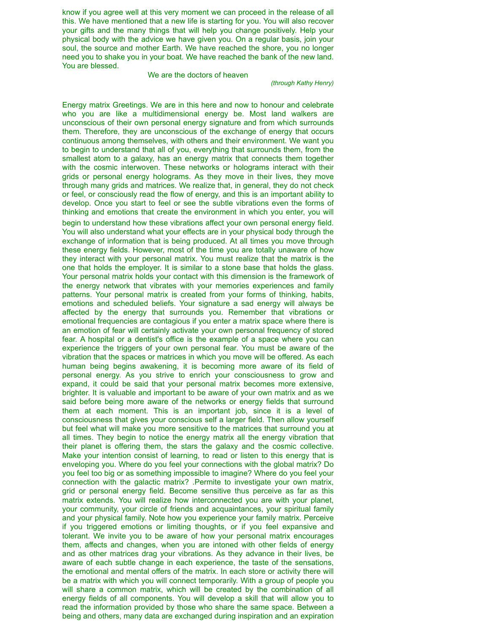know if you agree well at this very moment we can proceed in the release of all this. We have mentioned that a new life is starting for you. You will also recover your gifts and the many things that will help you change positively. Help your physical body with the advice we have given you. On a regular basis, join your soul, the source and mother Earth. We have reached the shore, you no longer need you to shake you in your boat. We have reached the bank of the new land. You are blessed.

### We are the doctors of heaven

### *(through Kathy Henry)*

Energy matrix Greetings. We are in this here and now to honour and celebrate who you are like a multidimensional energy be. Most land walkers are unconscious of their own personal energy signature and from which surrounds them. Therefore, they are unconscious of the exchange of energy that occurs continuous among themselves, with others and their environment. We want you to begin to understand that all of you, everything that surrounds them, from the smallest atom to a galaxy, has an energy matrix that connects them together with the cosmic interwoven. These networks or holograms interact with their grids or personal energy holograms. As they move in their lives, they move through many grids and matrices. We realize that, in general, they do not check or feel, or consciously read the flow of energy, and this is an important ability to develop. Once you start to feel or see the subtle vibrations even the forms of thinking and emotions that create the environment in which you enter, you will begin to understand how these vibrations affect your own personal energy field. You will also understand what your effects are in your physical body through the exchange of information that is being produced. At all times you move through these energy fields. However, most of the time you are totally unaware of how they interact with your personal matrix. You must realize that the matrix is the one that holds the employer. It is similar to a stone base that holds the glass. Your personal matrix holds your contact with this dimension is the framework of the energy network that vibrates with your memories experiences and family patterns. Your personal matrix is created from your forms of thinking, habits, emotions and scheduled beliefs. Your signature a sad energy will always be affected by the energy that surrounds you. Remember that vibrations or emotional frequencies are contagious if you enter a matrix space where there is an emotion of fear will certainly activate your own personal frequency of stored fear. A hospital or a dentist's office is the example of a space where you can experience the triggers of your own personal fear. You must be aware of the vibration that the spaces or matrices in which you move will be offered. As each human being begins awakening, it is becoming more aware of its field of personal energy. As you strive to enrich your consciousness to grow and expand, it could be said that your personal matrix becomes more extensive, brighter. It is valuable and important to be aware of your own matrix and as we said before being more aware of the networks or energy fields that surround them at each moment. This is an important job, since it is a level of consciousness that gives your conscious self a larger field. Then allow yourself but feel what will make you more sensitive to the matrices that surround you at all times. They begin to notice the energy matrix all the energy vibration that their planet is offering them, the stars the galaxy and the cosmic collective. Make your intention consist of learning, to read or listen to this energy that is enveloping you. Where do you feel your connections with the global matrix? Do you feel too big or as something impossible to imagine? Where do you feel your connection with the galactic matrix? .Permite to investigate your own matrix, grid or personal energy field. Become sensitive thus perceive as far as this matrix extends. You will realize how interconnected you are with your planet, your community, your circle of friends and acquaintances, your spiritual family and your physical family. Note how you experience your family matrix. Perceive if you triggered emotions or limiting thoughts, or if you feel expansive and tolerant. We invite you to be aware of how your personal matrix encourages them, affects and changes, when you are intoned with other fields of energy and as other matrices drag your vibrations. As they advance in their lives, be aware of each subtle change in each experience, the taste of the sensations, the emotional and mental offers of the matrix. In each store or activity there will be a matrix with which you will connect temporarily. With a group of people you will share a common matrix, which will be created by the combination of all energy fields of all components. You will develop a skill that will allow you to read the information provided by those who share the same space. Between a being and others, many data are exchanged during inspiration and an expiration